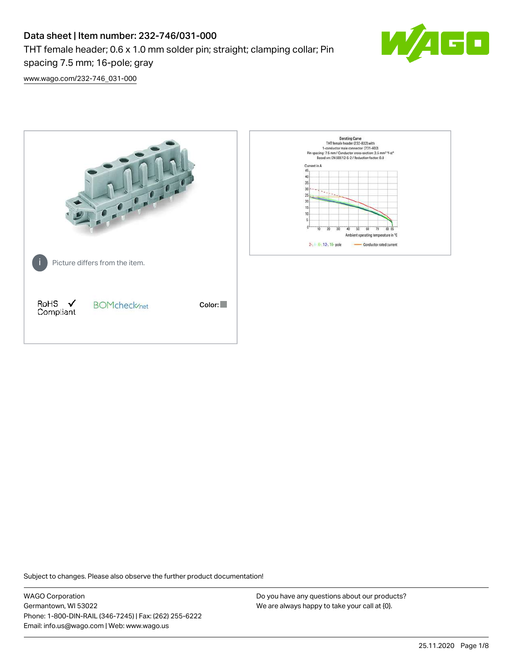# Data sheet | Item number: 232-746/031-000

THT female header; 0.6 x 1.0 mm solder pin; straight; clamping collar; Pin



[www.wago.com/232-746\\_031-000](http://www.wago.com/232-746_031-000)

spacing 7.5 mm; 16-pole; gray



Subject to changes. Please also observe the further product documentation!

WAGO Corporation Germantown, WI 53022 Phone: 1-800-DIN-RAIL (346-7245) | Fax: (262) 255-6222 Email: info.us@wago.com | Web: www.wago.us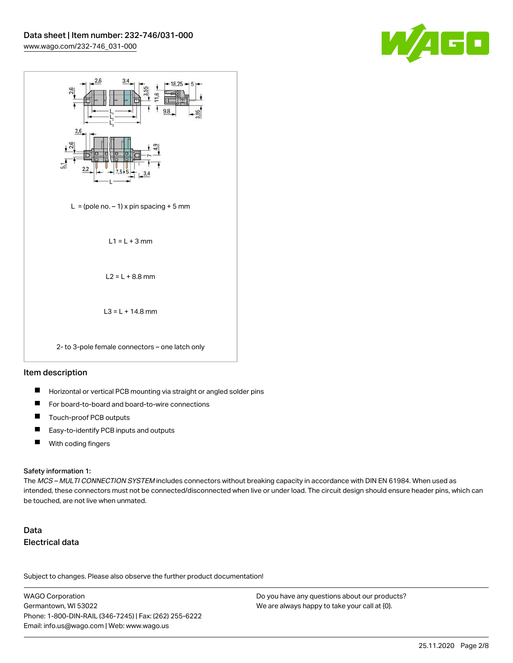



# Item description

- П Horizontal or vertical PCB mounting via straight or angled solder pins
- П For board-to-board and board-to-wire connections
- П Touch-proof PCB outputs
- $\blacksquare$ Easy-to-identify PCB inputs and outputs
- $\blacksquare$ With coding fingers

#### Safety information 1:

The MCS - MULTI CONNECTION SYSTEM includes connectors without breaking capacity in accordance with DIN EN 61984. When used as intended, these connectors must not be connected/disconnected when live or under load. The circuit design should ensure header pins, which can be touched, are not live when unmated.

# Data Electrical data

Subject to changes. Please also observe the further product documentation!

WAGO Corporation Germantown, WI 53022 Phone: 1-800-DIN-RAIL (346-7245) | Fax: (262) 255-6222 Email: info.us@wago.com | Web: www.wago.us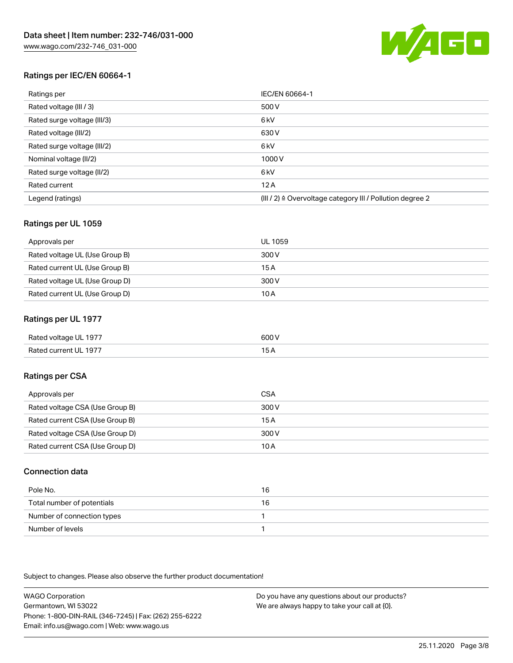

# Ratings per IEC/EN 60664-1

| Ratings per                 | IEC/EN 60664-1                                            |
|-----------------------------|-----------------------------------------------------------|
| Rated voltage (III / 3)     | 500 V                                                     |
| Rated surge voltage (III/3) | 6 <sub>kV</sub>                                           |
| Rated voltage (III/2)       | 630 V                                                     |
| Rated surge voltage (III/2) | 6 <sub>kV</sub>                                           |
| Nominal voltage (II/2)      | 1000 V                                                    |
| Rated surge voltage (II/2)  | 6 <sub>kV</sub>                                           |
| Rated current               | 12A                                                       |
| Legend (ratings)            | (III / 2) ≙ Overvoltage category III / Pollution degree 2 |

# Ratings per UL 1059

| Approvals per                  | UL 1059 |
|--------------------------------|---------|
| Rated voltage UL (Use Group B) | 300 V   |
| Rated current UL (Use Group B) | 15 A    |
| Rated voltage UL (Use Group D) | 300 V   |
| Rated current UL (Use Group D) | 10 A    |

# Ratings per UL 1977

| Rated voltage UL 1977 | 600 V |
|-----------------------|-------|
| Rated current UL 1977 |       |

# Ratings per CSA

| Approvals per                   | CSA   |
|---------------------------------|-------|
| Rated voltage CSA (Use Group B) | 300 V |
| Rated current CSA (Use Group B) | 15 A  |
| Rated voltage CSA (Use Group D) | 300 V |
| Rated current CSA (Use Group D) | 10 A  |

# Connection data

| Pole No.                   | 16 |
|----------------------------|----|
| Total number of potentials | 16 |
| Number of connection types |    |
| Number of levels           |    |

Subject to changes. Please also observe the further product documentation!

WAGO Corporation Germantown, WI 53022 Phone: 1-800-DIN-RAIL (346-7245) | Fax: (262) 255-6222 Email: info.us@wago.com | Web: www.wago.us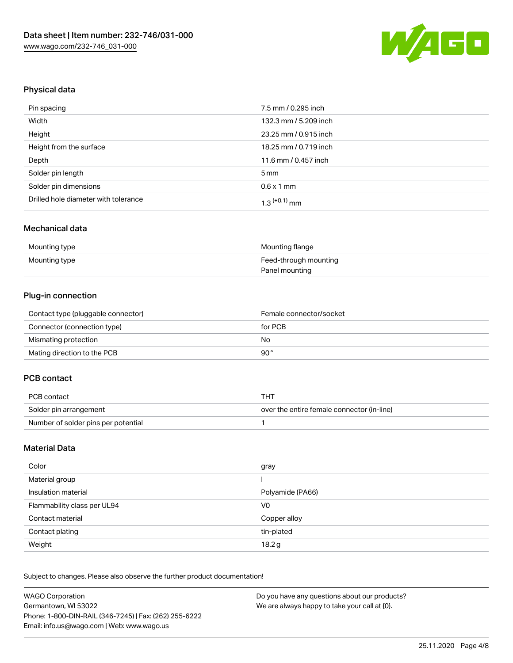

# Physical data

| Pin spacing                          | 7.5 mm / 0.295 inch   |
|--------------------------------------|-----------------------|
| Width                                | 132.3 mm / 5.209 inch |
| Height                               | 23.25 mm / 0.915 inch |
| Height from the surface              | 18.25 mm / 0.719 inch |
| Depth                                | 11.6 mm / 0.457 inch  |
| Solder pin length                    | $5 \,\mathrm{mm}$     |
| Solder pin dimensions                | $0.6 \times 1$ mm     |
| Drilled hole diameter with tolerance | $1.3$ $(+0.1)$ mm     |

#### Mechanical data

| Mounting type | Mounting flange       |
|---------------|-----------------------|
| Mounting type | Feed-through mounting |
|               | Panel mounting        |

# Plug-in connection

| Contact type (pluggable connector) | Female connector/socket |
|------------------------------------|-------------------------|
| Connector (connection type)        | for PCB                 |
| Mismating protection               | No                      |
| Mating direction to the PCB        | 90°                     |

# PCB contact

| PCB contact                         | TH).                                       |  |
|-------------------------------------|--------------------------------------------|--|
| Solder pin arrangement              | over the entire female connector (in-line) |  |
| Number of solder pins per potential |                                            |  |

### Material Data

| Color                       | gray             |
|-----------------------------|------------------|
| Material group              |                  |
| Insulation material         | Polyamide (PA66) |
| Flammability class per UL94 | V <sub>0</sub>   |
| Contact material            | Copper alloy     |
| Contact plating             | tin-plated       |
| Weight                      | 18.2g            |

Subject to changes. Please also observe the further product documentation!

| <b>WAGO Corporation</b>                                | Do you have any questions about our products? |
|--------------------------------------------------------|-----------------------------------------------|
| Germantown, WI 53022                                   | We are always happy to take your call at {0}. |
| Phone: 1-800-DIN-RAIL (346-7245)   Fax: (262) 255-6222 |                                               |
| Email: info.us@wago.com   Web: www.wago.us             |                                               |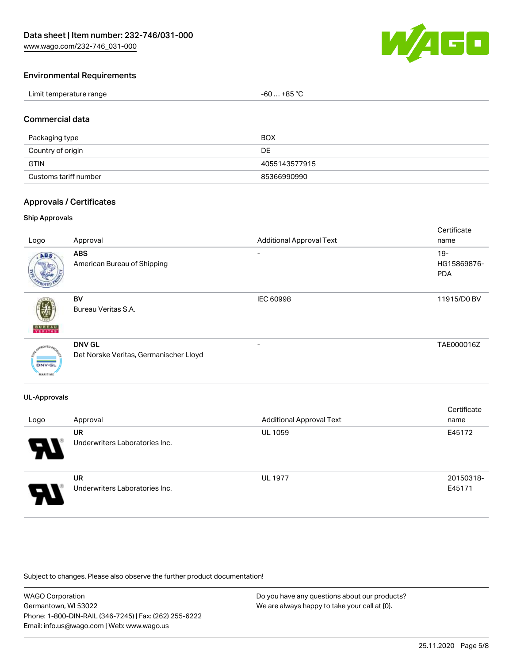[www.wago.com/232-746\\_031-000](http://www.wago.com/232-746_031-000)



### Environmental Requirements

| Limit temperature range<br>$-60+85 °C$<br>the contract of the contract of the contract of the contract of the contract of the contract of the contract of |  |
|-----------------------------------------------------------------------------------------------------------------------------------------------------------|--|
|-----------------------------------------------------------------------------------------------------------------------------------------------------------|--|

### Commercial data

| Packaging type        | <b>BOX</b>    |
|-----------------------|---------------|
| Country of origin     | DE            |
| <b>GTIN</b>           | 4055143577915 |
| Customs tariff number | 85366990990   |

### Approvals / Certificates

#### Ship Approvals

| Logo                                    | Approval                                                | <b>Additional Approval Text</b> | Certificate<br>name                 |
|-----------------------------------------|---------------------------------------------------------|---------------------------------|-------------------------------------|
| ABS                                     | <b>ABS</b><br>American Bureau of Shipping               | -                               | $19 -$<br>HG15869876-<br><b>PDA</b> |
| <b>BUREAU</b>                           | BV<br>Bureau Veritas S.A.                               | IEC 60998                       | 11915/D0 BV                         |
| <b>DNV-GL</b><br><b>ALC A 25-YEAR-R</b> | <b>DNV GL</b><br>Det Norske Veritas, Germanischer Lloyd | -                               | TAE000016Z                          |

#### UL-Approvals

| Logo | Approval                                    | <b>Additional Approval Text</b> | Certificate<br>name |
|------|---------------------------------------------|---------------------------------|---------------------|
| P.   | <b>UR</b><br>Underwriters Laboratories Inc. | <b>UL 1059</b>                  | E45172              |
| Э.   | <b>UR</b><br>Underwriters Laboratories Inc. | <b>UL 1977</b>                  | 20150318-<br>E45171 |

Subject to changes. Please also observe the further product documentation!

WAGO Corporation Germantown, WI 53022 Phone: 1-800-DIN-RAIL (346-7245) | Fax: (262) 255-6222 Email: info.us@wago.com | Web: www.wago.us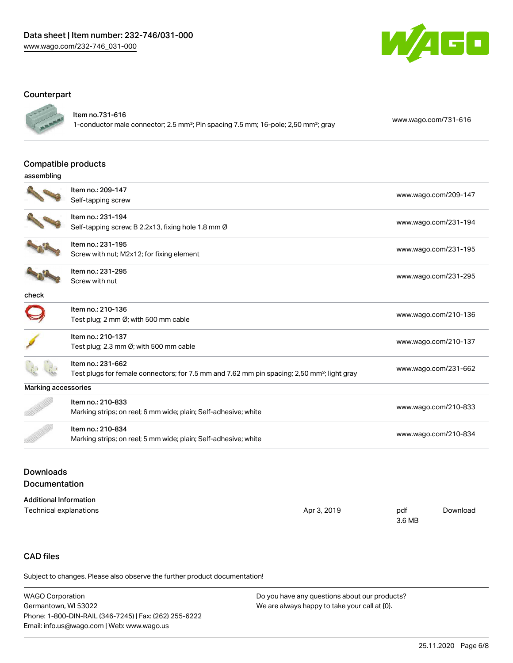

# **Counterpart**



Item no.731-616

1-conductor male connector; 2.5 mm²; Pin spacing 7.5 mm; 16-pole; 2,50 mm²; gray [www.wago.com/731-616](https://www.wago.com/731-616)

#### Compatible products

|                            | Compatible products                                                                                     |                      |
|----------------------------|---------------------------------------------------------------------------------------------------------|----------------------|
| assembling                 |                                                                                                         |                      |
|                            | Item no.: 209-147                                                                                       |                      |
|                            | Self-tapping screw                                                                                      | www.wago.com/209-147 |
|                            | Item no.: 231-194                                                                                       | www.wago.com/231-194 |
|                            | Self-tapping screw; B 2.2x13, fixing hole 1.8 mm Ø                                                      |                      |
|                            | Item no.: 231-195                                                                                       | www.wago.com/231-195 |
|                            | Screw with nut; M2x12; for fixing element                                                               |                      |
|                            | Item no.: 231-295                                                                                       | www.wago.com/231-295 |
|                            | Screw with nut                                                                                          |                      |
| check                      |                                                                                                         |                      |
|                            | Item no.: 210-136                                                                                       | www.wago.com/210-136 |
|                            | Test plug; 2 mm Ø; with 500 mm cable                                                                    |                      |
|                            | Item no.: 210-137                                                                                       |                      |
|                            | Test plug; 2.3 mm Ø; with 500 mm cable                                                                  | www.wago.com/210-137 |
|                            | Item no.: 231-662                                                                                       |                      |
|                            | Test plugs for female connectors; for 7.5 mm and 7.62 mm pin spacing; 2,50 mm <sup>2</sup> ; light gray | www.wago.com/231-662 |
| <b>Marking accessories</b> |                                                                                                         |                      |
|                            | Item no.: 210-833                                                                                       | www.wago.com/210-833 |
|                            | Marking strips; on reel; 6 mm wide; plain; Self-adhesive; white                                         |                      |
|                            | Item no.: 210-834                                                                                       |                      |
|                            | Marking strips; on reel; 5 mm wide; plain; Self-adhesive; white                                         | www.wago.com/210-834 |
|                            |                                                                                                         |                      |

# Downloads Documentation

| <b>Additional Information</b> |             |        |          |
|-------------------------------|-------------|--------|----------|
| Technical explanations        | Apr 3, 2019 | pdf    | Download |
|                               |             | 3.6 MB |          |

# CAD files

Subject to changes. Please also observe the further product documentation!

| WAGO Corporation                                       | Do you have any questions about our products? |
|--------------------------------------------------------|-----------------------------------------------|
| Germantown. WI 53022                                   | We are always happy to take your call at {0}. |
| Phone: 1-800-DIN-RAIL (346-7245)   Fax: (262) 255-6222 |                                               |
| Email: info.us@wago.com   Web: www.wago.us             |                                               |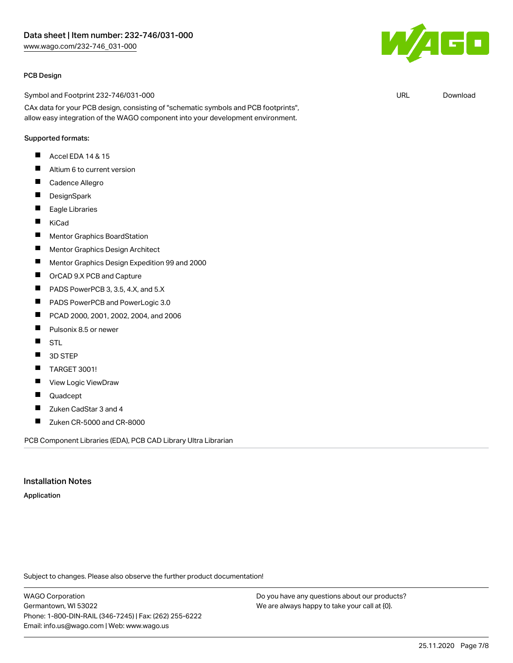#### PCB Design

Symbol and Footprint 232-746/031-000

CAx data for your PCB design, consisting of "schematic symbols and PCB footprints", allow easy integration of the WAGO component into your development environment.

# Supported formats:

- $\blacksquare$ Accel EDA 14 & 15
- $\blacksquare$ Altium 6 to current version
- $\blacksquare$ Cadence Allegro
- $\blacksquare$ **DesignSpark**
- $\blacksquare$ Eagle Libraries
- $\blacksquare$ KiCad
- $\blacksquare$ Mentor Graphics BoardStation
- $\blacksquare$ Mentor Graphics Design Architect
- $\blacksquare$ Mentor Graphics Design Expedition 99 and 2000
- $\blacksquare$ OrCAD 9.X PCB and Capture
- $\blacksquare$ PADS PowerPCB 3, 3.5, 4.X, and 5.X
- П PADS PowerPCB and PowerLogic 3.0
- $\blacksquare$ PCAD 2000, 2001, 2002, 2004, and 2006
- П Pulsonix 8.5 or newer
- $\blacksquare$ STL
- 3D STEP  $\blacksquare$
- TARGET 3001! П
- П View Logic ViewDraw
- П Quadcept
- $\blacksquare$ Zuken CadStar 3 and 4
- $\blacksquare$ Zuken CR-5000 and CR-8000

PCB Component Libraries (EDA), PCB CAD Library Ultra Librarian

#### Installation Notes

#### Application

Subject to changes. Please also observe the further product documentation!

WAGO Corporation Germantown, WI 53022 Phone: 1-800-DIN-RAIL (346-7245) | Fax: (262) 255-6222 Email: info.us@wago.com | Web: www.wago.us

Do you have any questions about our products? We are always happy to take your call at {0}.



URL [Download](https://www.wago.com/us/d/UltraLibrarian_URLS_232-746_031-000)